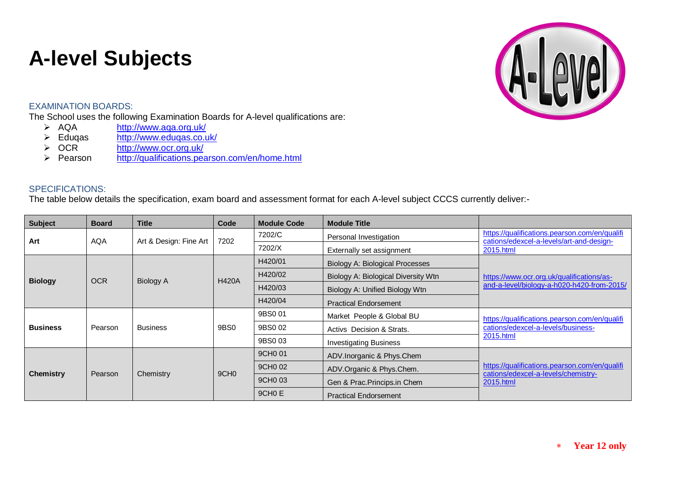## **A-level Subjects**

## EXAMINATION BOARDS:

The School uses the following Examination Boards for A-level qualifications are:<br>  $\triangleright$  AQA http://www.aqa.org.uk/

- > AQA <http://www.aqa.org.uk/><br>
> Eduqas http://www.eduqas.co.u
- > Eduqas <http://www.eduqas.co.uk/><br>
→ OCR http://www.ocr.org.uk/
- > OCR <http://www.ocr.org.uk/><br>> Pearson http://qualifications.pea
- <http://qualifications.pearson.com/en/home.html>

## SPECIFICATIONS:

The table below details the specification, exam board and assessment format for each A-level subject CCCS currently deliver:-

| <b>Subject</b>   | <b>Board</b> | <b>Title</b>           | Code             | <b>Module Code</b>  | <b>Module Title</b>                 |                                                                                                        |
|------------------|--------------|------------------------|------------------|---------------------|-------------------------------------|--------------------------------------------------------------------------------------------------------|
| Art              | <b>AQA</b>   | Art & Design: Fine Art | 7202             | 7202/C              | Personal Investigation              | https://qualifications.pearson.com/en/qualifi<br>cations/edexcel-a-levels/art-and-design-<br>2015.html |
|                  |              |                        |                  | 7202/X              | Externally set assignment           |                                                                                                        |
| <b>Biology</b>   | <b>OCR</b>   | <b>Biology A</b>       | <b>H420A</b>     | H420/01             | Biology A: Biological Processes     | https://www.ocr.org.uk/qualifications/as-<br>and-a-level/biology-a-h020-h420-from-2015/                |
|                  |              |                        |                  | H420/02             | Biology A: Biological Diversity Wtn |                                                                                                        |
|                  |              |                        |                  | H420/03             | Biology A: Unified Biology Wtn      |                                                                                                        |
|                  |              |                        |                  | H420/04             | <b>Practical Endorsement</b>        |                                                                                                        |
| <b>Business</b>  | Pearson      | <b>Business</b>        | 9BS0             | 9BS0 01             | Market People & Global BU           | https://qualifications.pearson.com/en/qualifi<br>cations/edexcel-a-levels/business-                    |
|                  |              |                        |                  | 9BS0 02             | Activs Decision & Strats.           |                                                                                                        |
|                  |              |                        |                  | 9BS0 03             | <b>Investigating Business</b>       | 2015.html                                                                                              |
| <b>Chemistry</b> | Pearson      | Chemistry              | 9CH <sub>0</sub> | 9CH <sub>0</sub> 01 | ADV. Inorganic & Phys. Chem         | https://qualifications.pearson.com/en/qualifi<br>cations/edexcel-a-levels/chemistry-<br>2015.html      |
|                  |              |                        |                  | 9CH <sub>0</sub> 02 | ADV.Organic & Phys.Chem.            |                                                                                                        |
|                  |              |                        |                  | 9CH0 03             | Gen & Prac. Princips. in Chem       |                                                                                                        |
|                  |              |                        |                  | 9CH <sub>0</sub> E  | <b>Practical Endorsement</b>        |                                                                                                        |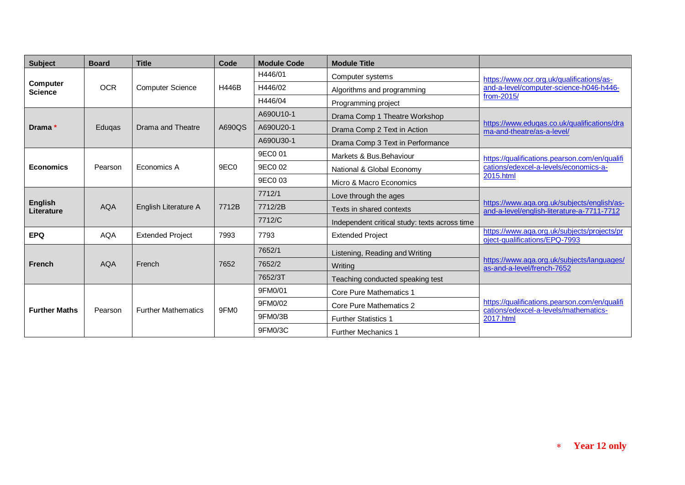| <b>Subject</b>               | <b>Board</b> | <b>Title</b>               | Code             | <b>Module Code</b> | <b>Module Title</b>                           |                                                                                                     |
|------------------------------|--------------|----------------------------|------------------|--------------------|-----------------------------------------------|-----------------------------------------------------------------------------------------------------|
|                              |              |                            |                  | H446/01            | Computer systems                              | https://www.ocr.org.uk/qualifications/as-                                                           |
| Computer<br><b>Science</b>   | <b>OCR</b>   | <b>Computer Science</b>    | <b>H446B</b>     | H446/02            | Algorithms and programming                    | and-a-level/computer-science-h046-h446-                                                             |
|                              |              |                            |                  | H446/04            | Programming project                           | from-2015/                                                                                          |
|                              |              |                            |                  | A690U10-1          | Drama Comp 1 Theatre Workshop                 |                                                                                                     |
| Drama *                      | Eduqas       | Drama and Theatre          | A690QS           | A690U20-1          | Drama Comp 2 Text in Action                   | https://www.edugas.co.uk/gualifications/dra<br>ma-and-theatre/as-a-level/                           |
|                              |              |                            |                  | A690U30-1          | Drama Comp 3 Text in Performance              |                                                                                                     |
|                              |              |                            |                  | 9EC0 01            | Markets & Bus. Behaviour                      | https://qualifications.pearson.com/en/qualifi                                                       |
| <b>Economics</b>             | Pearson      | Economics A                | 9EC <sub>0</sub> | 9EC0 02            | National & Global Economy                     | cations/edexcel-a-levels/economics-a-                                                               |
|                              |              |                            |                  | 9EC0 03            | Micro & Macro Economics                       | 2015.html                                                                                           |
|                              |              |                            |                  | 7712/1             | Love through the ages                         |                                                                                                     |
| <b>English</b><br>Literature | <b>AQA</b>   | English Literature A       | 7712B            | 7712/2B            | Texts in shared contexts                      | https://www.aqa.org.uk/subjects/english/as-<br>and-a-level/english-literature-a-7711-7712           |
|                              |              |                            |                  | 7712/C             | Independent critical study: texts across time |                                                                                                     |
| <b>EPQ</b>                   | <b>AQA</b>   | <b>Extended Project</b>    | 7993             | 7793               | <b>Extended Project</b>                       | https://www.aqa.org.uk/subjects/projects/pr<br>oject-qualifications/EPQ-7993                        |
|                              |              |                            |                  | 7652/1             | Listening, Reading and Writing                |                                                                                                     |
| <b>French</b>                | <b>AQA</b>   | French                     | 7652             | 7652/2             | Writing                                       | https://www.aqa.org.uk/subjects/languages/<br>as-and-a-level/french-7652                            |
|                              |              |                            |                  | 7652/3T            | Teaching conducted speaking test              |                                                                                                     |
|                              |              |                            |                  | 9FM0/01            | <b>Core Pure Mathematics 1</b>                |                                                                                                     |
| <b>Further Maths</b>         | Pearson      | <b>Further Mathematics</b> | 9FM <sub>0</sub> | 9FM0/02            | Core Pure Mathematics 2                       | https://qualifications.pearson.com/en/qualifi<br>cations/edexcel-a-levels/mathematics-<br>2017.html |
|                              |              |                            |                  | 9FM0/3B            | <b>Further Statistics 1</b>                   |                                                                                                     |
|                              |              |                            |                  | 9FM0/3C            | <b>Further Mechanics 1</b>                    |                                                                                                     |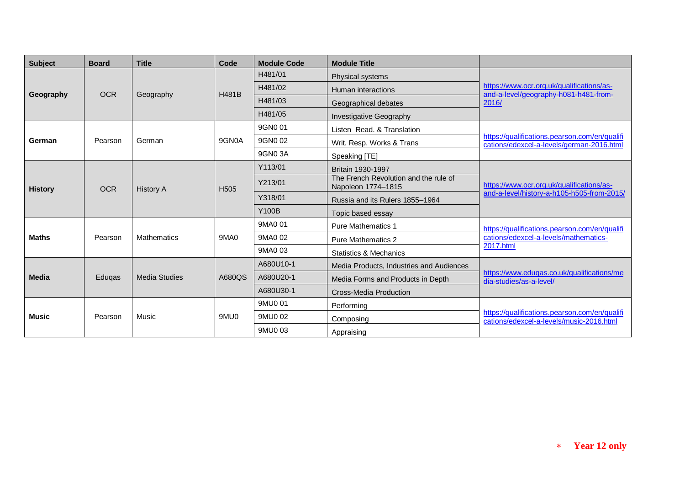| <b>Subject</b> | <b>Board</b> | <b>Title</b>     | Code             | <b>Module Code</b> | <b>Module Title</b>                                         |                                                                                                     |
|----------------|--------------|------------------|------------------|--------------------|-------------------------------------------------------------|-----------------------------------------------------------------------------------------------------|
| Geography      | <b>OCR</b>   | Geography        | H481B            | H481/01            | Physical systems                                            | https://www.ocr.org.uk/qualifications/as-<br>and-a-level/geography-h081-h481-from-<br>2016/         |
|                |              |                  |                  | H481/02            | Human interactions                                          |                                                                                                     |
|                |              |                  |                  | H481/03            | Geographical debates                                        |                                                                                                     |
|                |              |                  |                  | H481/05            | Investigative Geography                                     |                                                                                                     |
| German         | Pearson      | German           | 9GN0A            | 9GN0 01            | Listen Read, & Translation                                  | https://qualifications.pearson.com/en/qualifi<br>cations/edexcel-a-levels/german-2016.html          |
|                |              |                  |                  | 9GN0 02            | Writ. Resp. Works & Trans                                   |                                                                                                     |
|                |              |                  |                  | 9GN0 3A            | Speaking [TE]                                               |                                                                                                     |
| <b>History</b> | <b>OCR</b>   | <b>History A</b> | H <sub>505</sub> | Y113/01            | Britain 1930-1997                                           | https://www.ocr.org.uk/qualifications/as-<br>and-a-level/history-a-h105-h505-from-2015/             |
|                |              |                  |                  | Y213/01            | The French Revolution and the rule of<br>Napoleon 1774-1815 |                                                                                                     |
|                |              |                  |                  | Y318/01            | Russia and its Rulers 1855-1964                             |                                                                                                     |
|                |              |                  |                  | <b>Y100B</b>       | Topic based essay                                           |                                                                                                     |
| <b>Maths</b>   | Pearson      | Mathematics      | <b>9MA0</b>      | 9MA0 01            | <b>Pure Mathematics 1</b>                                   | https://qualifications.pearson.com/en/qualifi<br>cations/edexcel-a-levels/mathematics-<br>2017.html |
|                |              |                  |                  | 9MA0 02            | <b>Pure Mathematics 2</b>                                   |                                                                                                     |
|                |              |                  |                  | 9MA0 03            | <b>Statistics &amp; Mechanics</b>                           |                                                                                                     |
| <b>Media</b>   | Edugas       | Media Studies    | A680QS           | A680U10-1          | Media Products, Industries and Audiences                    | https://www.eduqas.co.uk/qualifications/me<br>dia-studies/as-a-level/                               |
|                |              |                  |                  | A680U20-1          | Media Forms and Products in Depth                           |                                                                                                     |
|                |              |                  |                  | A680U30-1          | Cross-Media Production                                      |                                                                                                     |
| <b>Music</b>   | Pearson      | Music            | 9MU0             | 9MU0 01            | Performing                                                  |                                                                                                     |
|                |              |                  |                  | 9MU0 02            | Composing                                                   | https://qualifications.pearson.com/en/qualifi<br>cations/edexcel-a-levels/music-2016.html           |
|                |              |                  |                  | 9MU0 03            | Appraising                                                  |                                                                                                     |